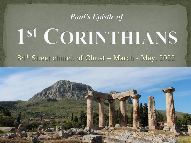#### **Paul's Epistle of**

# 1st CORINTHIANS

#### 84th Street church of Christ – March - May, 2022

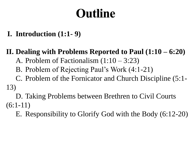## Outline

**I. Introduction (1:1- 9)**

**II. Dealing with Problems Reported to Paul (1:10 – 6:20)**

- A. Problem of Factionalism  $(1:10 3:23)$
- B. Problem of Rejecting Paul's Work (4:1-21)

C. Problem of the Fornicator and Church Discipline (5:1- 13)

D. Taking Problems between Brethren to Civil Courts  $(6:1-11)$ 

E. Responsibility to Glorify God with the Body (6:12-20)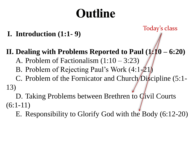## Outline

**I. Introduction (1:1- 9)**

Today's class

**II. Dealing with Problems Reported to Paul (1:10 – 6:20)**

- A. Problem of Factionalism  $(1:10 3:23)$
- B. Problem of Rejecting Paul's Work  $(4:1-21)$

C. Problem of the Fornicator and Church Discipline (5:1-13)

D. Taking Problems between Brethren to *Qivil* Courts  $(6:1-11)$ 

E. Responsibility to Glorify God with the Body (6:12-20)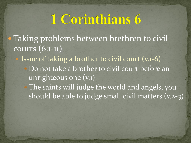- Taking problems between brethren to civil courts (6:1-11)
	- Issue of taking a brother to civil court (v.1-6) Do not take a brother to civil court before an unrighteous one (v.1)
		- The saints will judge the world and angels, you should be able to judge small civil matters (v.2-3)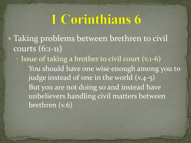- Taking problems between brethren to civil courts (6:1-11)
	- Issue of taking a brother to civil court (v.1-6) You should have one wise enough among you to judge instead of one in the world (v.4-5) But you are not doing so and instead have unbelievers handling civil matters between

brethren (v.6)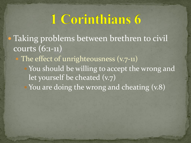Taking problems between brethren to civil courts (6:1-11)

The effect of unrighteousness (v.7-11)

 You should be willing to accept the wrong and let yourself be cheated (v.7)

You are doing the wrong and cheating  $(v.8)$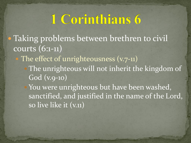- Taking problems between brethren to civil courts (6:1-11)
	- The effect of unrighteousness (v.7-11)
		- The unrighteous will not inherit the kingdom of God (v.9-10)

You were unrighteous but have been washed, sanctified, and justified in the name of the Lord, so live like it (v.11)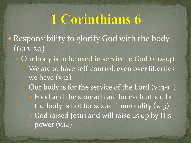- Responsibility to glorify God with the body  $(6:12-20)$ 
	- Our body is to be used in service to God (v.12-14) We are to have self-control, even over liberties we have (v.12)
		- Our body is for the service of the Lord (v.13-14) Food and the stomach are for each other, but the body is not for sexual immorality (v.13) God raised Jesus and will raise us up by His power (v.14)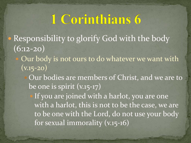- Responsibility to glorify God with the body  $(6:12-20)$ 
	- Our body is not ours to do whatever we want with  $\overline{(v.15-20)}$ 
		- Our bodies are members of Christ, and we are to be one is spirit (v.15-17)

 If you are joined with a harlot, you are one with a harlot, this is not to be the case, we are to be one with the Lord, do not use your body for sexual immorality (v.15-16)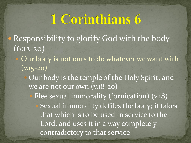- Responsibility to glorify God with the body  $(6:12-20)$ 
	- Our body is not ours to do whatever we want with  $\overline{(v.15-20)}$ 
		- Our body is the temple of the Holy Spirit, and we are not our own (v.18-20)
			- Flee sexual immorality (fornication) (v.18) Sexual immorality defiles the body; it takes that which is to be used in service to the Lord, and uses it in a way completely contradictory to that service